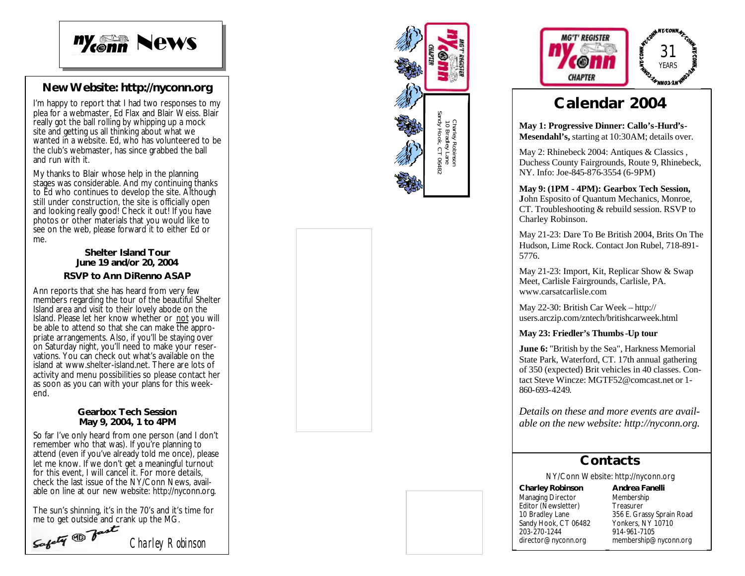

## **New Website: http://nyconn.org**

I'm happy to report that I had two responses to my plea for a webmaster, Ed Flax and Blair Weiss. Blair really got the ball rolling by whipping up a mock site and getting us all thinking about what we wanted in a website. Ed, who has volunteered to be the club's webmaster, has since grabbed the ball and run with it.

My thanks to Blair whose help in the planning stages was considerable. And my continuing thanks to Ed who continues to develop the site. Although still under construction, the site is officially open and looking really good! Check it out! If you have photos or other materials that you would like to see on the web, please forward it to either Ed or me.

### **Shelter Island Tour June 19 and/or 20, 2004**

#### **RSVP to Ann DiRenno ASAP**

Ann reports that she has heard from very few members regarding the tour of the beautiful Shelter Island area and visit to their lovely abode on the Island. Please let her know whether or not you will be able to attend so that she can make the appropriate arrangements. Also, if you'll be staying over on Saturday night, you'll need to make your reservations. You can check out what's available on the island at www.shelter -island.net. There are lots of activity and menu possibilities so please contact her as soon as you can with your plans for this weekend.

#### **Gearbox Tech Session May 9, 2004, 1 to 4PM**

So far I've only heard from one person (and I don't remember who that was). If you're planning to attend (even if you've already told me once), please let me know. If we don't get a meaningful turnout for this event, I will cancel it. For more details, check the last issue of the NY/Conn News, available on line at our new website: http://nyconn.org.

The sun's shinning, it's in the 70's and it's time for

*Charley Robinson* me to get outside and crank up the MG.<br>Softy  $\bigoplus$  factor of the MG.





# **Calendar 2004**

**May 1: Progressive Dinner: Callo's -Hurd's - Mesendahl's,** starting at 10:30AM; details over.

May 2: Rhinebeck 2004: Antiques & Classics , Duchess County Fairgrounds, Route 9, Rhinebeck, NY. Info: Joe -845 -876 -3554 (6 -9PM)

**May 9: (1PM - 4PM): Gearbox Tech Session, J**ohn Esposito of Quantum Mechanics, Monroe, CT. Troubleshooting & rebuild session. RSVP to Charley Robinson.

May 21 -23: Dare To Be British 2004, Brits On The Hudson, Lime Rock. Contact Jon Rubel, 718-891-5776.

May 21 -23: Import, Kit, Replicar Show & Swap Meet, Carlisle Fairgrounds, Carlisle, PA. www.carsatcarlisle.com

May 22 -30: British Car Week – http:// users.arczip.com/zntech/britishcarweek.html

**May 23: Friedler's Thumbs -Up tour**

**June 6:** "British by the Sea", Harkness Memorial State Park, Waterford, CT. 17th annual gathering of 350 (expected) Brit vehicles in 40 classes. Contact Steve Wincze: MGTF52@comcast.net or 1- 860 -693 -4249 .

*Details on these and more events are available on the new website: http://nyconn.org.*

## **Contacts**

NY/Conn Website: http://nyconn.org

**Charley Robinson** Managing Director Editor (Newsletter) 10 Bradley Lane Sandy Hook, CT 06482 203-270 -1244 director@nyconn.org

**Andrea Fanelli** Membership **Treasurer** 356 E. Grassy Sprain Road Yonkers, NY 10710 914-961 -7105 membership@nyconn.org